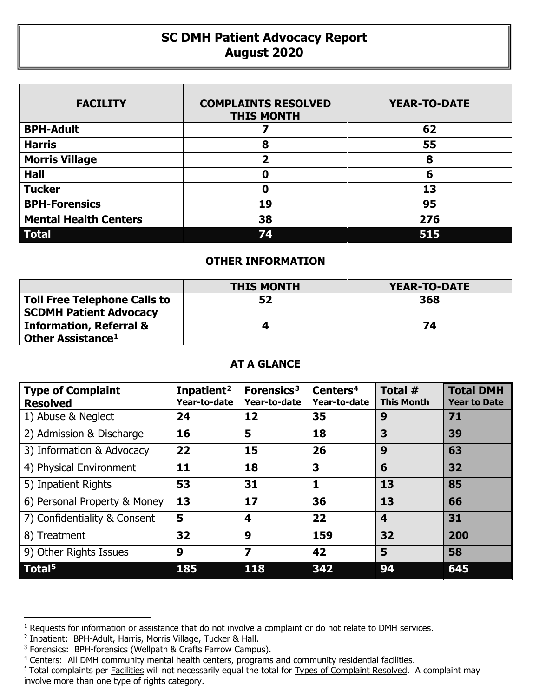## **SC DMH Patient Advocacy Report August 2020**

| <b>FACILITY</b>              | <b>COMPLAINTS RESOLVED</b><br><b>THIS MONTH</b> | <b>YEAR-TO-DATE</b> |
|------------------------------|-------------------------------------------------|---------------------|
| <b>BPH-Adult</b>             |                                                 | 62                  |
| <b>Harris</b>                | 8                                               | 55                  |
| <b>Morris Village</b>        | $\overline{\mathbf{2}}$                         | 8                   |
| <b>Hall</b>                  | O                                               | 6                   |
| <b>Tucker</b>                | 0                                               | 13                  |
| <b>BPH-Forensics</b>         | 19                                              | 95                  |
| <b>Mental Health Centers</b> | 38                                              | 276                 |
| <b>Total</b>                 | 74                                              | 515                 |

## **OTHER INFORMATION**

|                                                                      | <b>THIS MONTH</b> | <b>YEAR-TO-DATE</b> |
|----------------------------------------------------------------------|-------------------|---------------------|
| <b>Toll Free Telephone Calls to</b><br><b>SCDMH Patient Advocacy</b> | 52                | 368                 |
| <b>Information, Referral &amp;</b><br>Other Assistance <sup>1</sup>  |                   | 74                  |
|                                                                      |                   |                     |

## **AT A GLANCE**

| <b>Type of Complaint</b><br><b>Resolved</b> | Inpatient <sup>2</sup><br>Year-to-date | Forensics <sup>3</sup><br>Year-to-date | Centers <sup>4</sup><br>Year-to-date | Total #<br><b>This Month</b> | <b>Total DMH</b><br><b>Year to Date</b> |
|---------------------------------------------|----------------------------------------|----------------------------------------|--------------------------------------|------------------------------|-----------------------------------------|
| 1) Abuse & Neglect                          | 24                                     | 12                                     | 35                                   | 9                            | 71                                      |
| 2) Admission & Discharge                    | 16                                     | 5                                      | 18                                   | 3                            | 39                                      |
| 3) Information & Advocacy                   | 22                                     | 15                                     | 26                                   | 9                            | 63                                      |
| 4) Physical Environment                     | 11                                     | 18                                     | 3                                    | 6                            | 32                                      |
| 5) Inpatient Rights                         | 53                                     | 31                                     | 1                                    | 13                           | 85                                      |
| 6) Personal Property & Money                | 13                                     | 17                                     | 36                                   | 13                           | 66                                      |
| 7) Confidentiality & Consent                | 5                                      | 4                                      | 22                                   | 4                            | 31                                      |
| 8) Treatment                                | 32                                     | 9                                      | 159                                  | 32                           | 200                                     |
| 9) Other Rights Issues                      | 9                                      | $\overline{\mathbf{z}}$                | 42                                   | 5                            | 58                                      |
| Total <sup>5</sup>                          | 185                                    | 118                                    | 342                                  | 94                           | 645                                     |

 $\overline{a}$ 

<span id="page-0-0"></span><sup>&</sup>lt;sup>1</sup> Requests for information or assistance that do not involve a complaint or do not relate to DMH services.

<span id="page-0-1"></span><sup>2</sup> Inpatient: BPH-Adult, Harris, Morris Village, Tucker & Hall.

<span id="page-0-2"></span><sup>&</sup>lt;sup>3</sup> Forensics: BPH-forensics (Wellpath & Crafts Farrow Campus).

<span id="page-0-3"></span><sup>&</sup>lt;sup>4</sup> Centers: All DMH community mental health centers, programs and community residential facilities.

<span id="page-0-4"></span><sup>&</sup>lt;sup>5</sup> Total complaints per Facilities will not necessarily equal the total for Types of Complaint Resolved. A complaint may involve more than one type of rights category.